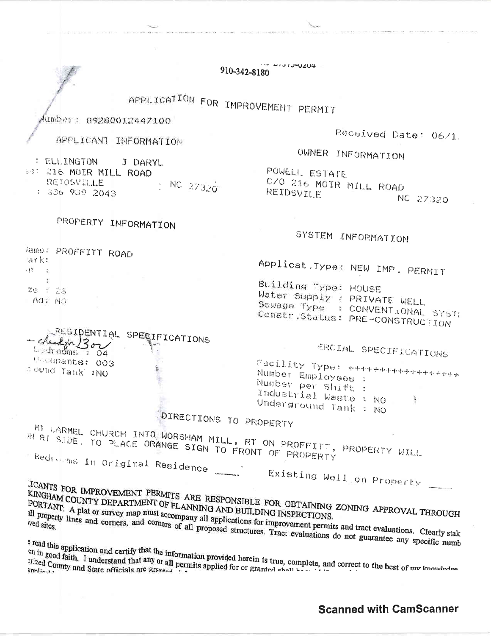$4131J$ -UZU4 910-342-8180 APPLICATION FOR IMPROVEMENT PERMIT Mumber: 89280012447100 Received Date: 06/1. APPLICANT INFORMATION OWNER INFORMATION : ELL. INGTON J DARYL POWELL ESTATE #3: 216 MOIR MILL ROAD C/O 216 MOIR MILL ROAD RETOSVILLE NC 27320 : 336 939 2043 REIDSVILE NC 27320 PROPERTY INFORMATION SYSTEM INFORMATION lame: PROFFITT ROAD ark: Applicat. Type: NEW IMP, PERMIT  $\mathfrak{N}=\mathbb{Z}$  $\ddot{ }$ Building Type: HOUSE Ze 1 26 Water Supply : PRIVATE WELL OW 3DA Sewage Type : CONVENT JONAL SYST! Constr.Status: PRE-CONSTRUCTION RESIDENTIAL SPECIFICATIONS checkfor 300 ERCIAL SPECIFICATIONS  $\frac{1}{2}$  of  $\frac{d}{dx}$  of  $\frac{d}{dx}$   $\frac{d}{dx}$ Uccupants: 003 Facility Type: +++++++++++++++++++ Dound Tank :NO Number Employees : Number per shift : Industrial Waste : NO Underground Tank : No DIRECTIONS TO PROPERTY MI CARMEL CHURCH INTO WORSHAM MILL, RT ON PROFFITT, PROPERTY WILL IN RT SIDE. TO PLACE ORANGE SIGN TO FRONT OF PROPERTY Bedrooms in Original Residence Existing Well on Property JCANTS FOR IMPROVEMENT PERMITS ARE RESPONSIBLE FOR OBTAINING ZONING APPROVAL THROUGH KINGHAM COUNTY DEPARTMENT OF PLANNING AND BUILDING INSPECTIONS. PORTANT: A plat or survey map must accompany all applications for improvement permits and tract evaluations. Clearly stak all property lines and corners, and corners of all proposed structures. Tract evaluations do not guarantee any specific numb <sup>5</sup> read this application and certify that the information provided herein is true, complete, and correct to the best of my knowledge en in good faith. I understand that any or all permits applied for or granted shall be seen in

**Scanned with CamScanner**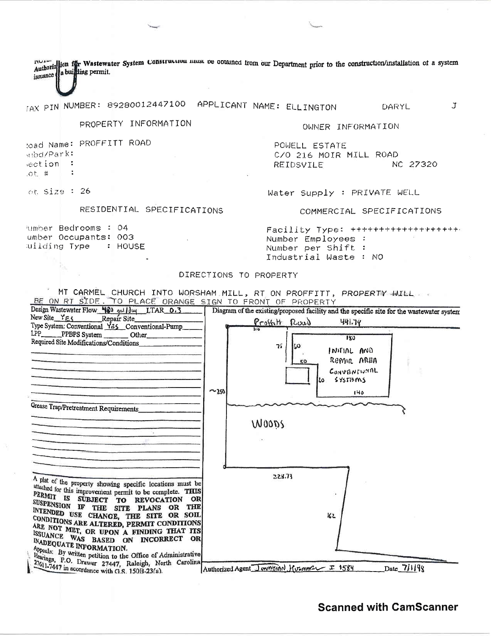Authorize tion for Wastewater System Construction must be obtained from our Department prior to the construction/installation of a system issuance a building permit.

TAX PIN NUMBER: 89280012447100 APPLICANT NAME: ELLINGTON DARYL

PROPERTY INFORMATION

OWNER INFORMATION

POWELL ESTATE C/O 216 MOIR MILL ROAD NC 27320 REIDSVILE

ot Size : 26

ubd/Park:

ection :

 $: 100$ 

## RESIDENTIAL SPECIFICATIONS

lumber Bedrooms : 04 umber Occupants: 003 wilding Type : HOUSE

toad Name: PROFFITT ROAD

Water Supply : PRIVATE WELL

COMMERCIAL SPECIFICATIONS

Ĵ.

Facility Type: ++++++++++++++++++++ Number Employees : Number per Shift: Industrial Waste : NO

### DIRECTIONS TO PROPERTY

MT CARMEL CHURCH INTO WORSHAM MILL, RT ON PROFFITT, PROPERTY WILL BE ON RT SIDE. TO PLACE ORANGE SIGN TO FRONT OF PROPERTY

| Design Wastewater Flow 480 gallduy LTAR 0.3                                                                                                                                                           | Diagram of the existing/proposed facility and the specific site for the wastewater system |
|-------------------------------------------------------------------------------------------------------------------------------------------------------------------------------------------------------|-------------------------------------------------------------------------------------------|
| New Site_YES<br>Repair Site_                                                                                                                                                                          | <u>Prottitt Roud</u><br>441.78                                                            |
| Type System: Conventional Y25 Conventional-Pump<br>LPP<br>PPBPS System<br>Other                                                                                                                       | 180                                                                                       |
| Required Site Modifications/Conditions                                                                                                                                                                | าร์<br>60<br>INUTIAL AND<br>REPAIR AREA<br>50<br>CONVENTIUMAL                             |
|                                                                                                                                                                                                       | $5$ YSTIZMS<br>٤٥<br>$-250$<br>140                                                        |
| Grease Trap/Pretreatment Requirements_                                                                                                                                                                |                                                                                           |
|                                                                                                                                                                                                       | WOODS                                                                                     |
|                                                                                                                                                                                                       |                                                                                           |
|                                                                                                                                                                                                       | 228.73                                                                                    |
| A plat of the property showing specific locations must be<br>attached for this improvement permit to be complete. THIS<br>PERMIT IS SUBJECT TO<br>OR<br><b>REVOCATION</b><br>SUSPENSION IF THE<br>THE |                                                                                           |
| SITE PLANS OR<br>INTENDED USE CHANGE, THE SITE OR SOLL<br>CONDITIONS ARE ALTERED, PERMIT CONDITIONS<br>ARE NOT MET, OR UPON A FINDING THAT ITS                                                        | 162                                                                                       |
| ISSUANCE WAS BASED ON INCORRECT OR<br><b>INADEQUATE INFORMATION.</b><br>Appeals: By written petition to the Office of Administrative                                                                  |                                                                                           |
| Hearings, P.O. Drawer 27447, Raleigh, North Carolina<br>27611-7447 in accordance with G.S. 150B-23(a).                                                                                                | $Date_7$ //198<br>Authorized Agent Journal Hummar I 1584                                  |

## **Scanned with CamScanner**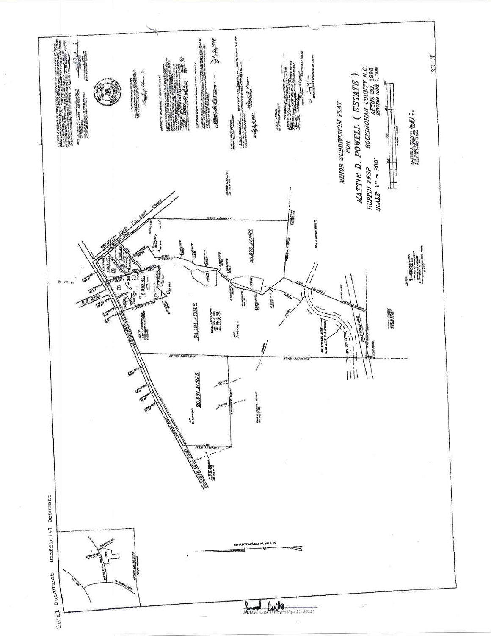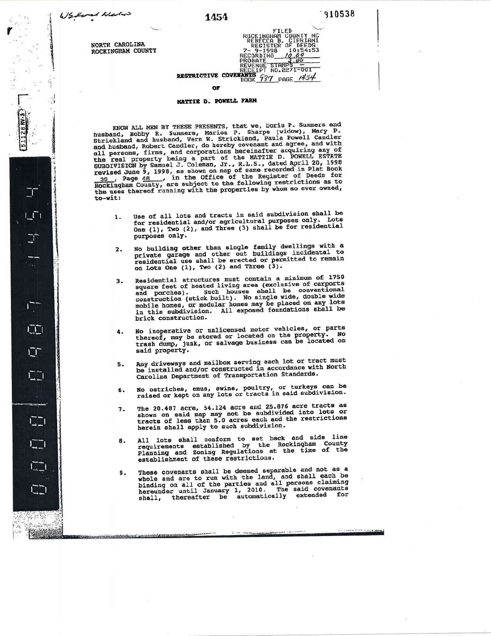$\overline{\mathbb{J}}$ 

000000

FILED<br>
ROCKINGHAM COUNTY NC<br>
REGISTER OF DEEDS<br>
7- 9-1998 10:54:53<br>
7-9-1998 10:54:53<br>
REGORDING 7-05

NORTH CAROLINA ROCKINGHAM COUNTY

# RESTRICTIVE COVERANT FOR STANDS OF

#### **MATTIE D. POWELL FARM**

KNOW ALL MEN BY THESE PRESENTS, that we, Doris P. Summers and<br>husband, Bobby R. Summers, Marion P. Sharpe (widow), Mary P.<br>Strickland and husband, Vern W. Strickland, Paula Powell Candler<br>and husband, Robert Candler, do he the uses thereof running with the properties by whom so ever owned, to-wit:

- Use of all lots and tracts in said subdivision shall be 1. for residential and/or agricultural purposes only. Lots<br>One (1), Two (2), and Three (3) shall be for residential purposes only.
- No building other than single family dwellings with a private garage and other out buildings incidental to residential use shall be erected or permitted to remain on Lots One (1), Two (2) and Three (3).  $2.$
- Residential structures must contain a minimum of 1750 residential structures must contain a minimum of 1730<br>square feet of heated living area (exclusive of carports<br>and porches). Such houses shall be conventional<br>construction (stick built). No single wide, double wide<br>mobile  $3$ brick construction.
- No inoperative or unlicensed motor vehicles, or parts thereof, may be stored or located on the property. No<br>trash dump, junk, or salvage business can be located on 4. said property.
- Any driveways and mailbox serving each lot or tract must<br>be installed and/or constructed in accordance with North  $5.$ Carolina Department of Transportation Standards.
- No ostriches, emus, swine, poultry, or turkeys can be<br>raised or kept on any lots or tracts in said subdivision. 6.
- The 20.487 acre, 54.124 acre and 25.876 acre tracts as 7. shown on said map may not be subdivided into lots or<br>tracts of less than 5.0 acres each and the restrictions herein shall apply to such subdivision.
- All lots shall conform to set back and side line<br>requirements established by the Rockingham County<br>Planning and Zoning Regulations at the time of the 8. establishment of these restrictions.
- These covenants shall be deemed separable and not as a whole and are to run with the land, and shall each be<br>binding on all of the parties and all persons claiming<br>hereunder until January 1, 2010. The said covenants<br>shall, thereafter be automatically extended for 9.